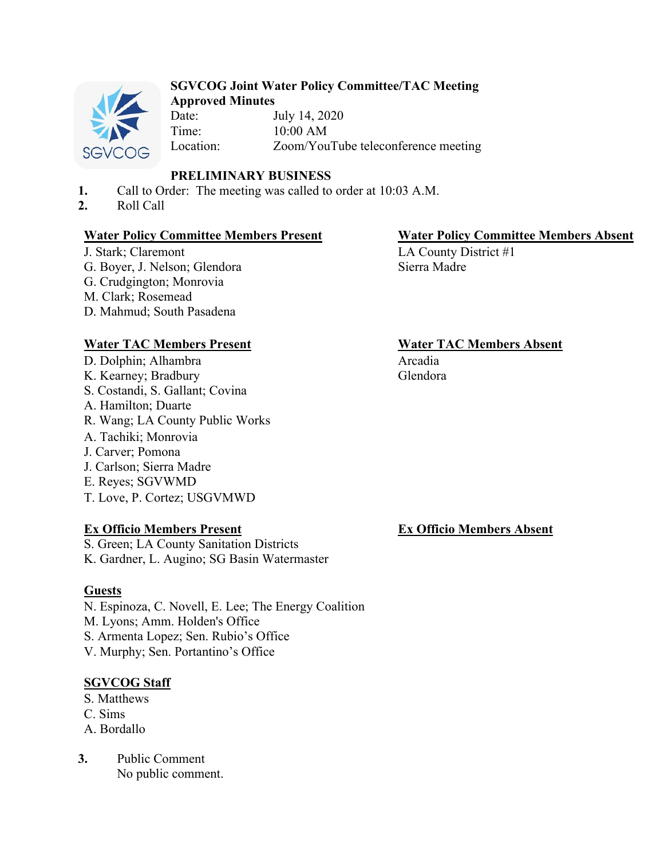

### **SGVCOG Joint Water Policy Committee/TAC Meeting Approved Minutes**

Date: July 14, 2020 Time: 10:00 AM Location: Zoom/YouTube teleconference meeting

# **PRELIMINARY BUSINESS**

- **1.** Call to Order: The meeting was called to order at 10:03 A.M.
- **2.** Roll Call

### **Water Policy Committee Members Present Water Policy Committee Members Absent**

J. Stark; Claremont G. Boyer, J. Nelson; Glendora G. Crudgington; Monrovia M. Clark; Rosemead D. Mahmud; South Pasadena

# **Water TAC Members Present Water TAC Members Absent**

D. Dolphin; Alhambra K. Kearney; Bradbury S. Costandi, S. Gallant; Covina A. Hamilton; Duarte R. Wang; LA County Public Works A. Tachiki; Monrovia J. Carver; Pomona J. Carlson; Sierra Madre E. Reyes; SGVWMD T. Love, P. Cortez; USGVMWD

### **Ex Officio Members Present**

S. Green; LA County Sanitation Districts K. Gardner, L. Augino; SG Basin Watermaster

# **Guests**

N. Espinoza, C. Novell, E. Lee; The Energy Coalition M. Lyons; Amm. Holden's Office S. Armenta Lopez; Sen. Rubio's Office V. Murphy; Sen. Portantino's Office

# **SGVCOG Staff**

- S. Matthews
- C. Sims
- A. Bordallo
- **3.** Public Comment No public comment.

LA County District #1 Sierra Madre

Arcadia Glendora

**Ex Officio Members Absent**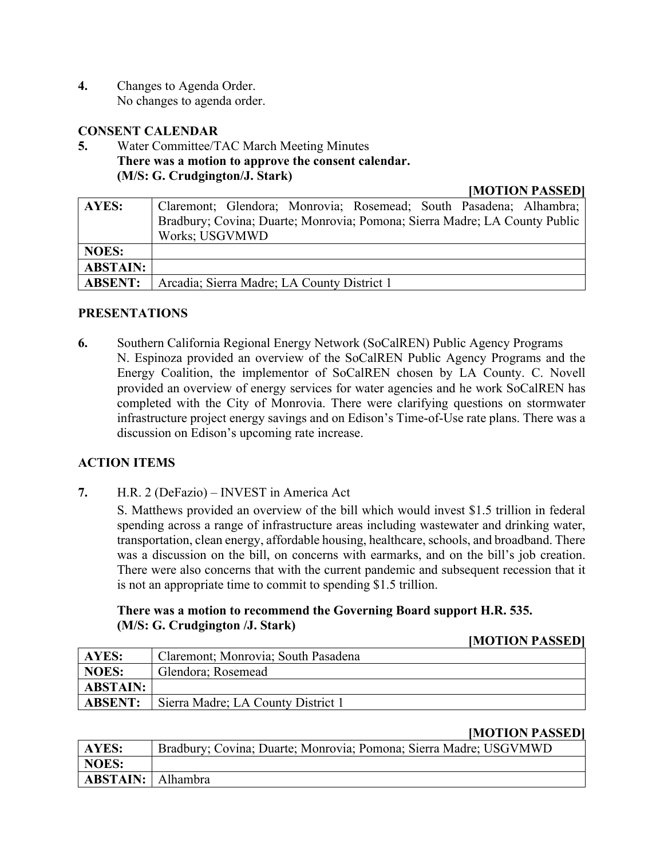**4.** Changes to Agenda Order. No changes to agenda order.

## **CONSENT CALENDAR**

**5.** Water Committee/TAC March Meeting Minutes **There was a motion to approve the consent calendar. (M/S: G. Crudgington/J. Stark)** 

**[MOTION PASSED]** 

| <b>AYES:</b>    | Claremont; Glendora; Monrovia; Rosemead; South Pasadena; Alhambra;         |  |
|-----------------|----------------------------------------------------------------------------|--|
|                 | Bradbury; Covina; Duarte; Monrovia; Pomona; Sierra Madre; LA County Public |  |
|                 | Works; USGVMWD                                                             |  |
| <b>NOES:</b>    |                                                                            |  |
| <b>ABSTAIN:</b> |                                                                            |  |
| <b>ABSENT:</b>  | Arcadia; Sierra Madre; LA County District 1                                |  |

# **PRESENTATIONS**

**6.** Southern California Regional Energy Network (SoCalREN) Public Agency Programs N. Espinoza provided an overview of the SoCalREN Public Agency Programs and the Energy Coalition, the implementor of SoCalREN chosen by LA County. C. Novell provided an overview of energy services for water agencies and he work SoCalREN has completed with the City of Monrovia. There were clarifying questions on stormwater infrastructure project energy savings and on Edison's Time-of-Use rate plans. There was a discussion on Edison's upcoming rate increase.

# **ACTION ITEMS**

**7.** H.R. 2 (DeFazio) – INVEST in America Act

S. Matthews provided an overview of the bill which would invest \$1.5 trillion in federal spending across a range of infrastructure areas including wastewater and drinking water, transportation, clean energy, affordable housing, healthcare, schools, and broadband. There was a discussion on the bill, on concerns with earmarks, and on the bill's job creation. There were also concerns that with the current pandemic and subsequent recession that it is not an appropriate time to commit to spending \$1.5 trillion.

# **There was a motion to recommend the Governing Board support H.R. 535. (M/S: G. Crudgington /J. Stark)**

### **[MOTION PASSED]**

| AYES:           | Claremont; Monrovia; South Pasadena |  |
|-----------------|-------------------------------------|--|
| <b>NOES:</b>    | Glendora; Rosemead                  |  |
| <b>ABSTAIN:</b> |                                     |  |
| <b>ABSENT:</b>  | Sierra Madre; LA County District 1  |  |

### **[MOTION PASSED]**

| <b>AYES:</b>             | Bradbury; Covina; Duarte; Monrovia; Pomona; Sierra Madre; USGVMWD |
|--------------------------|-------------------------------------------------------------------|
| NOES:                    |                                                                   |
| <b>ABSTAIN:</b> Alhambra |                                                                   |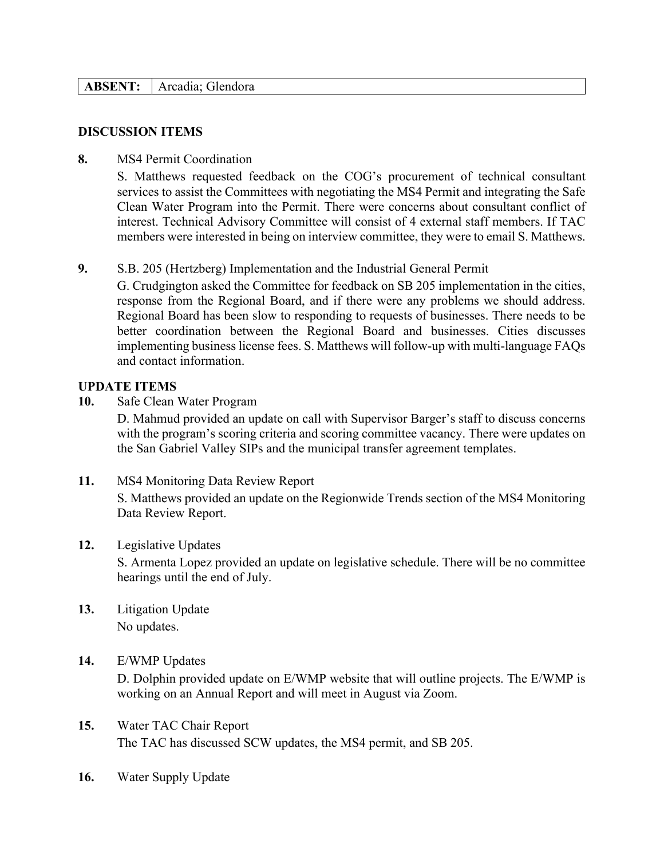### **ABSENT:** Arcadia; Glendora

#### **DISCUSSION ITEMS**

#### **8.** MS4 Permit Coordination

S. Matthews requested feedback on the COG's procurement of technical consultant services to assist the Committees with negotiating the MS4 Permit and integrating the Safe Clean Water Program into the Permit. There were concerns about consultant conflict of interest. Technical Advisory Committee will consist of 4 external staff members. If TAC members were interested in being on interview committee, they were to email S. Matthews.

# **9.** S.B. 205 (Hertzberg) Implementation and the Industrial General Permit

G. Crudgington asked the Committee for feedback on SB 205 implementation in the cities, response from the Regional Board, and if there were any problems we should address. Regional Board has been slow to responding to requests of businesses. There needs to be better coordination between the Regional Board and businesses. Cities discusses implementing business license fees. S. Matthews will follow-up with multi-language FAQs and contact information.

### **UPDATE ITEMS**

**10.** Safe Clean Water Program

D. Mahmud provided an update on call with Supervisor Barger's staff to discuss concerns with the program's scoring criteria and scoring committee vacancy. There were updates on the San Gabriel Valley SIPs and the municipal transfer agreement templates.

**11.** MS4 Monitoring Data Review Report S. Matthews provided an update on the Regionwide Trends section of the MS4 Monitoring Data Review Report.

### **12.** Legislative Updates

S. Armenta Lopez provided an update on legislative schedule. There will be no committee hearings until the end of July.

**13.** Litigation Update No updates.

# **14.** E/WMP Updates

D. Dolphin provided update on E/WMP website that will outline projects. The E/WMP is working on an Annual Report and will meet in August via Zoom.

- **15.** Water TAC Chair Report The TAC has discussed SCW updates, the MS4 permit, and SB 205.
- **16.** Water Supply Update